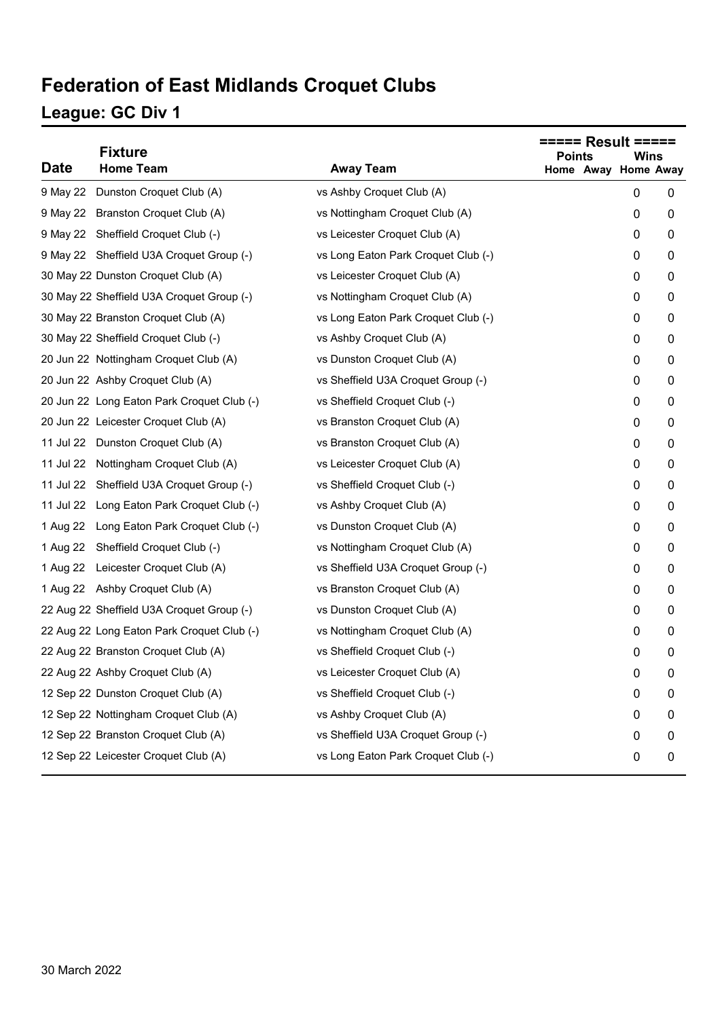# **Federation of East Midlands Croquet Clubs**

### **League: GC Div 1**

| <b>Date</b> | <b>Fixture</b><br><b>Home Team</b>         | <b>Away Team</b>                    | <b>Points</b><br>Wins<br>Home Away Home Away |   |   |
|-------------|--------------------------------------------|-------------------------------------|----------------------------------------------|---|---|
| 9 May 22    | Dunston Croquet Club (A)                   | vs Ashby Croquet Club (A)           |                                              | 0 | 0 |
|             | 9 May 22 Branston Croquet Club (A)         | vs Nottingham Croquet Club (A)      |                                              | 0 | 0 |
|             | 9 May 22 Sheffield Croquet Club (-)        | vs Leicester Croquet Club (A)       |                                              | 0 | 0 |
|             | 9 May 22 Sheffield U3A Croquet Group (-)   | vs Long Eaton Park Croquet Club (-) |                                              | 0 | 0 |
|             | 30 May 22 Dunston Croquet Club (A)         | vs Leicester Croquet Club (A)       |                                              | 0 | 0 |
|             | 30 May 22 Sheffield U3A Croquet Group (-)  | vs Nottingham Croquet Club (A)      |                                              | 0 | 0 |
|             | 30 May 22 Branston Croquet Club (A)        | vs Long Eaton Park Croquet Club (-) |                                              | 0 | 0 |
|             | 30 May 22 Sheffield Croquet Club (-)       | vs Ashby Croquet Club (A)           |                                              | 0 | 0 |
|             | 20 Jun 22 Nottingham Croquet Club (A)      | vs Dunston Croquet Club (A)         |                                              | 0 | 0 |
|             | 20 Jun 22 Ashby Croquet Club (A)           | vs Sheffield U3A Croquet Group (-)  |                                              | 0 | 0 |
|             | 20 Jun 22 Long Eaton Park Croquet Club (-) | vs Sheffield Croquet Club (-)       |                                              | 0 | 0 |
|             | 20 Jun 22 Leicester Croquet Club (A)       | vs Branston Croquet Club (A)        |                                              | 0 | 0 |
|             | 11 Jul 22 Dunston Croquet Club (A)         | vs Branston Croquet Club (A)        |                                              | 0 | 0 |
|             | 11 Jul 22 Nottingham Croquet Club (A)      | vs Leicester Croquet Club (A)       |                                              | 0 | 0 |
|             | 11 Jul 22 Sheffield U3A Croquet Group (-)  | vs Sheffield Croquet Club (-)       |                                              | 0 | 0 |
|             | 11 Jul 22 Long Eaton Park Croquet Club (-) | vs Ashby Croquet Club (A)           |                                              | 0 | 0 |
| 1 Aug 22    | Long Eaton Park Croquet Club (-)           | vs Dunston Croquet Club (A)         |                                              | 0 | 0 |
| 1 Aug 22    | Sheffield Croquet Club (-)                 | vs Nottingham Croquet Club (A)      |                                              | 0 | 0 |
|             | 1 Aug 22 Leicester Croquet Club (A)        | vs Sheffield U3A Croquet Group (-)  |                                              | 0 | 0 |
|             | 1 Aug 22 Ashby Croquet Club (A)            | vs Branston Croquet Club (A)        |                                              | 0 | 0 |
|             | 22 Aug 22 Sheffield U3A Croquet Group (-)  | vs Dunston Croquet Club (A)         |                                              | 0 | 0 |
|             | 22 Aug 22 Long Eaton Park Croquet Club (-) | vs Nottingham Croquet Club (A)      |                                              | 0 | 0 |
|             | 22 Aug 22 Branston Croquet Club (A)        | vs Sheffield Croquet Club (-)       |                                              | 0 | 0 |
|             | 22 Aug 22 Ashby Croquet Club (A)           | vs Leicester Croquet Club (A)       |                                              | 0 | 0 |
|             | 12 Sep 22 Dunston Croquet Club (A)         | vs Sheffield Croquet Club (-)       |                                              | 0 | 0 |
|             | 12 Sep 22 Nottingham Croquet Club (A)      | vs Ashby Croquet Club (A)           |                                              | 0 | 0 |
|             | 12 Sep 22 Branston Croquet Club (A)        | vs Sheffield U3A Croquet Group (-)  |                                              | 0 | 0 |
|             | 12 Sep 22 Leicester Croquet Club (A)       | vs Long Eaton Park Croquet Club (-) |                                              | 0 | 0 |
|             |                                            |                                     |                                              |   |   |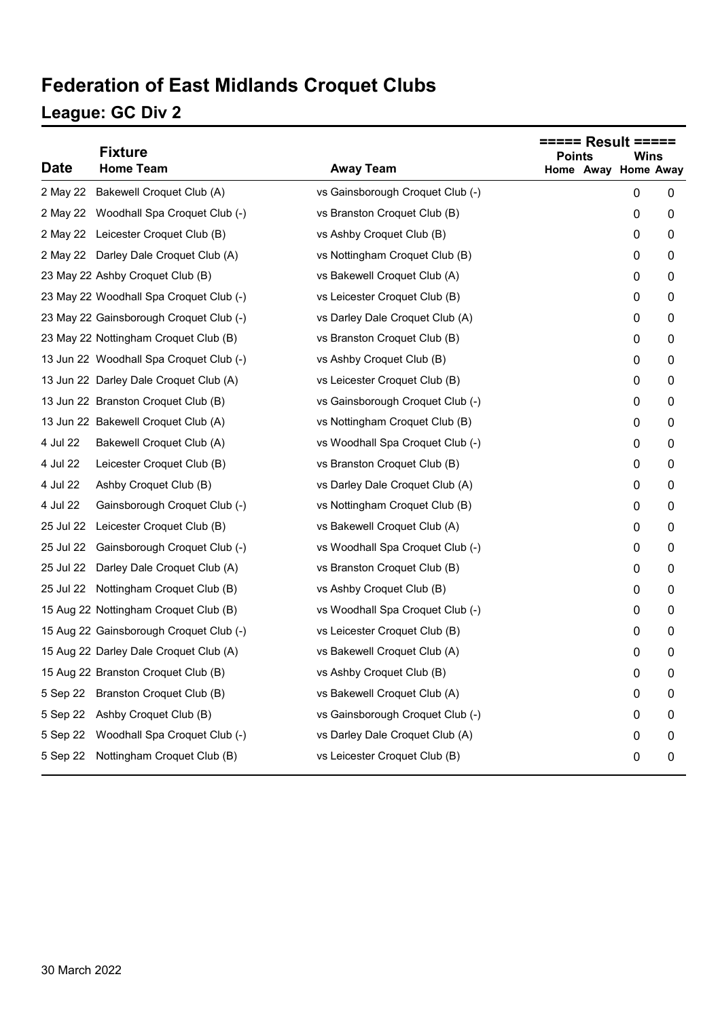## **Federation of East Midlands Croquet Clubs**

### **League: GC Div 2**

| <b>Date</b> | <b>Fixture</b><br><b>Home Team</b>      | <b>Away Team</b>                 | <b>Points</b> | Wins<br>Home Away Home Away |   |
|-------------|-----------------------------------------|----------------------------------|---------------|-----------------------------|---|
|             | 2 May 22 Bakewell Croquet Club (A)      | vs Gainsborough Croquet Club (-) |               | 0                           | 0 |
|             | 2 May 22 Woodhall Spa Croquet Club (-)  | vs Branston Croquet Club (B)     |               | 0                           | 0 |
|             | 2 May 22 Leicester Croquet Club (B)     | vs Ashby Croquet Club (B)        |               | 0                           | 0 |
|             | 2 May 22 Darley Dale Croquet Club (A)   | vs Nottingham Croquet Club (B)   |               | 0                           | 0 |
|             | 23 May 22 Ashby Croquet Club (B)        | vs Bakewell Croquet Club (A)     |               | 0                           | 0 |
|             | 23 May 22 Woodhall Spa Croquet Club (-) | vs Leicester Croquet Club (B)    |               | 0                           | 0 |
|             | 23 May 22 Gainsborough Croquet Club (-) | vs Darley Dale Croquet Club (A)  |               | 0                           | 0 |
|             | 23 May 22 Nottingham Croquet Club (B)   | vs Branston Croquet Club (B)     |               | 0                           | 0 |
|             | 13 Jun 22 Woodhall Spa Croquet Club (-) | vs Ashby Croquet Club (B)        |               | 0                           | 0 |
|             | 13 Jun 22 Darley Dale Croquet Club (A)  | vs Leicester Croquet Club (B)    |               | 0                           | 0 |
|             | 13 Jun 22 Branston Croquet Club (B)     | vs Gainsborough Croquet Club (-) |               | 0                           | 0 |
|             | 13 Jun 22 Bakewell Croquet Club (A)     | vs Nottingham Croquet Club (B)   |               | 0                           | 0 |
| 4 Jul 22    | Bakewell Croquet Club (A)               | vs Woodhall Spa Croquet Club (-) |               | 0                           | 0 |
| 4 Jul 22    | Leicester Croquet Club (B)              | vs Branston Croquet Club (B)     |               | 0                           | 0 |
| 4 Jul 22    | Ashby Croquet Club (B)                  | vs Darley Dale Croquet Club (A)  |               | 0                           | 0 |
| 4 Jul 22    | Gainsborough Croquet Club (-)           | vs Nottingham Croquet Club (B)   |               | 0                           | 0 |
| 25 Jul 22   | Leicester Croquet Club (B)              | vs Bakewell Croquet Club (A)     |               | 0                           | 0 |
| 25 Jul 22   | Gainsborough Croquet Club (-)           | vs Woodhall Spa Croquet Club (-) |               | 0                           | 0 |
| 25 Jul 22   | Darley Dale Croquet Club (A)            | vs Branston Croquet Club (B)     |               | 0                           | 0 |
|             | 25 Jul 22 Nottingham Croquet Club (B)   | vs Ashby Croquet Club (B)        |               | 0                           | 0 |
|             | 15 Aug 22 Nottingham Croquet Club (B)   | vs Woodhall Spa Croquet Club (-) |               | 0                           | 0 |
|             | 15 Aug 22 Gainsborough Croquet Club (-) | vs Leicester Croquet Club (B)    |               | 0                           | 0 |
|             | 15 Aug 22 Darley Dale Croquet Club (A)  | vs Bakewell Croquet Club (A)     |               | 0                           | 0 |
|             | 15 Aug 22 Branston Croquet Club (B)     | vs Ashby Croquet Club (B)        |               | 0                           | 0 |
|             | 5 Sep 22 Branston Croquet Club (B)      | vs Bakewell Croquet Club (A)     |               | 0                           | 0 |
| 5 Sep 22    | Ashby Croquet Club (B)                  | vs Gainsborough Croquet Club (-) |               | 0                           | 0 |
| 5 Sep 22    | Woodhall Spa Croquet Club (-)           | vs Darley Dale Croquet Club (A)  |               | 0                           | 0 |
|             | 5 Sep 22 Nottingham Croquet Club (B)    | vs Leicester Croquet Club (B)    |               | 0                           | 0 |